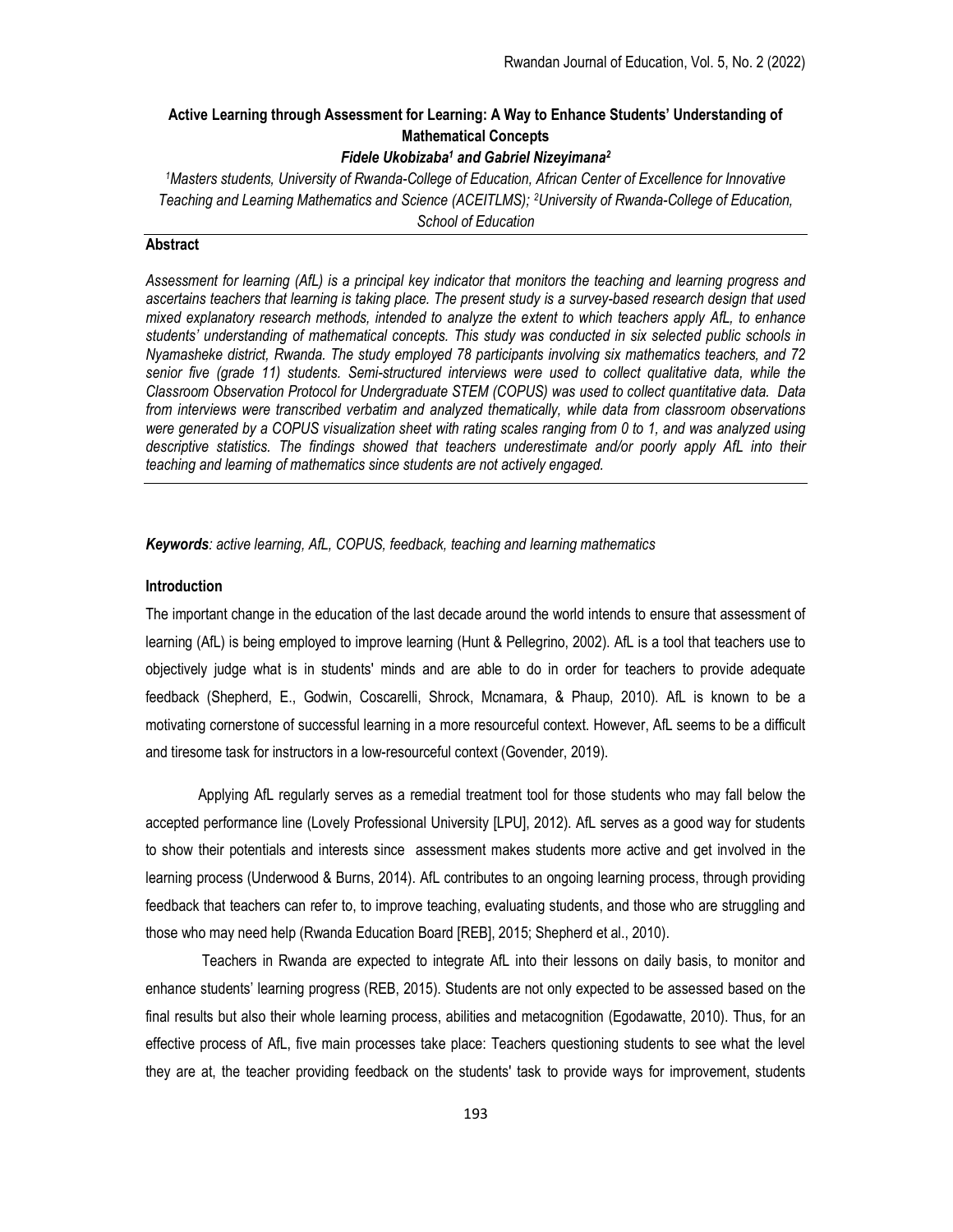# Active Learning through Assessment for Learning: A Way to Enhance Students' Understanding of Mathematical Concepts

# Fidele Ukobizaba<sup>1</sup> and Gabriel Nizeyimana<sup>2</sup>

<sup>1</sup>Masters students, University of Rwanda-College of Education, African Center of Excellence for Innovative Teaching and Learning Mathematics and Science (ACEITLMS); 2University of Rwanda-College of Education, School of Education

# **Abstract**

Assessment for learning (AfL) is a principal key indicator that monitors the teaching and learning progress and ascertains teachers that learning is taking place. The present study is a survey-based research design that used mixed explanatory research methods, intended to analyze the extent to which teachers apply AfL, to enhance students' understanding of mathematical concepts. This study was conducted in six selected public schools in Nyamasheke district, Rwanda. The study employed 78 participants involving six mathematics teachers, and 72 senior five (grade 11) students. Semi-structured interviews were used to collect qualitative data, while the Classroom Observation Protocol for Undergraduate STEM (COPUS) was used to collect quantitative data. Data from interviews were transcribed verbatim and analyzed thematically, while data from classroom observations were generated by a COPUS visualization sheet with rating scales ranging from 0 to 1, and was analyzed using descriptive statistics. The findings showed that teachers underestimate and/or poorly apply AfL into their teaching and learning of mathematics since students are not actively engaged.

Keywords: active learning, AfL, COPUS, feedback, teaching and learning mathematics

## Introduction

The important change in the education of the last decade around the world intends to ensure that assessment of learning (AfL) is being employed to improve learning (Hunt & Pellegrino, 2002). AfL is a tool that teachers use to objectively judge what is in students' minds and are able to do in order for teachers to provide adequate feedback (Shepherd, E., Godwin, Coscarelli, Shrock, Mcnamara, & Phaup, 2010). AfL is known to be a motivating cornerstone of successful learning in a more resourceful context. However, AfL seems to be a difficult and tiresome task for instructors in a low-resourceful context (Govender, 2019).

Applying AfL regularly serves as a remedial treatment tool for those students who may fall below the accepted performance line (Lovely Professional University [LPU], 2012). AfL serves as a good way for students to show their potentials and interests since assessment makes students more active and get involved in the learning process (Underwood & Burns, 2014). AfL contributes to an ongoing learning process, through providing feedback that teachers can refer to, to improve teaching, evaluating students, and those who are struggling and those who may need help (Rwanda Education Board [REB], 2015; Shepherd et al., 2010).

 Teachers in Rwanda are expected to integrate AfL into their lessons on daily basis, to monitor and enhance students' learning progress (REB, 2015). Students are not only expected to be assessed based on the final results but also their whole learning process, abilities and metacognition (Egodawatte, 2010). Thus, for an effective process of AfL, five main processes take place: Teachers questioning students to see what the level they are at, the teacher providing feedback on the students' task to provide ways for improvement, students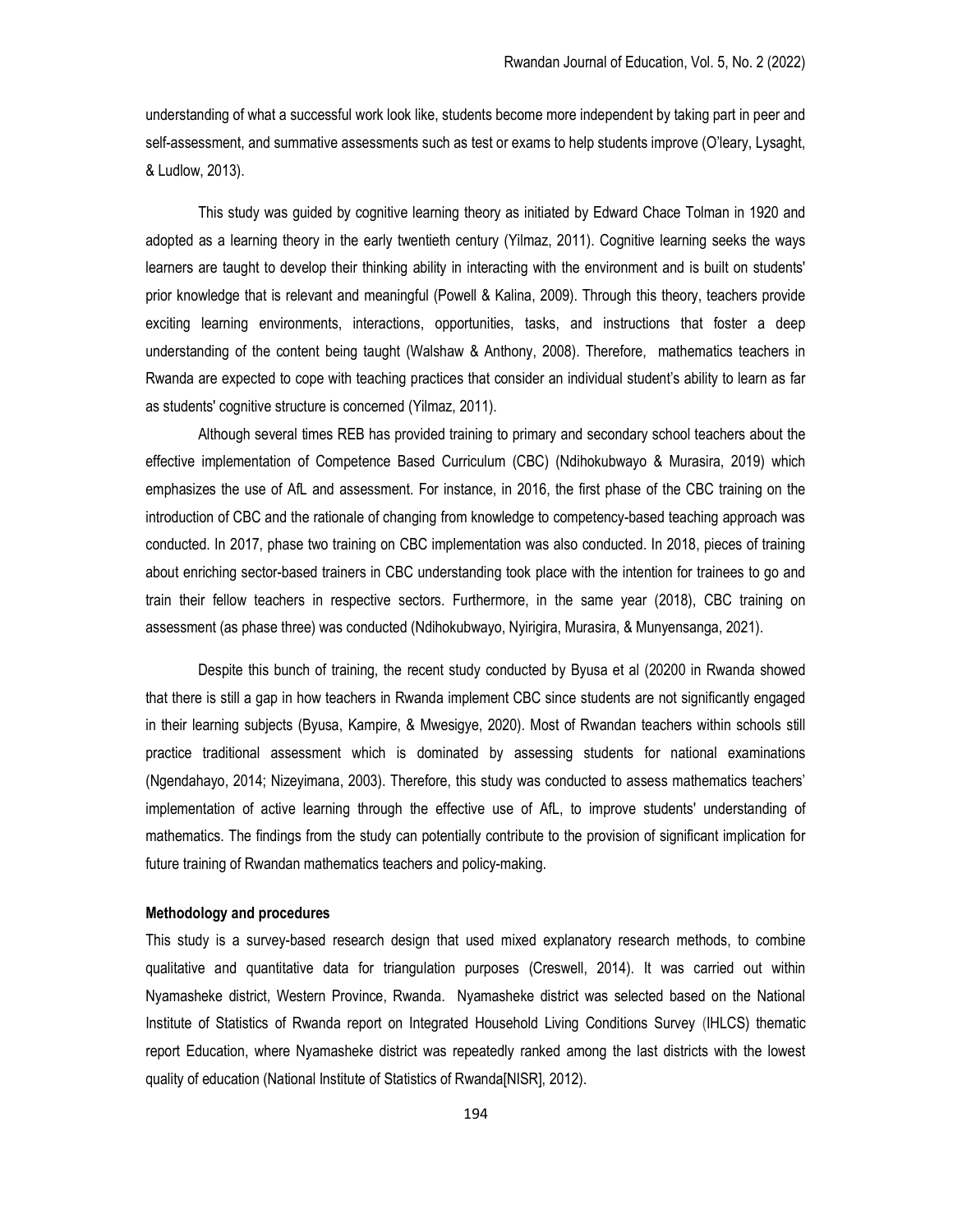understanding of what a successful work look like, students become more independent by taking part in peer and self-assessment, and summative assessments such as test or exams to help students improve (O'leary, Lysaght, & Ludlow, 2013).

This study was guided by cognitive learning theory as initiated by Edward Chace Tolman in 1920 and adopted as a learning theory in the early twentieth century (Yilmaz, 2011). Cognitive learning seeks the ways learners are taught to develop their thinking ability in interacting with the environment and is built on students' prior knowledge that is relevant and meaningful (Powell & Kalina, 2009). Through this theory, teachers provide exciting learning environments, interactions, opportunities, tasks, and instructions that foster a deep understanding of the content being taught (Walshaw & Anthony, 2008). Therefore, mathematics teachers in Rwanda are expected to cope with teaching practices that consider an individual student's ability to learn as far as students' cognitive structure is concerned (Yilmaz, 2011).

Although several times REB has provided training to primary and secondary school teachers about the effective implementation of Competence Based Curriculum (CBC) (Ndihokubwayo & Murasira, 2019) which emphasizes the use of AfL and assessment. For instance, in 2016, the first phase of the CBC training on the introduction of CBC and the rationale of changing from knowledge to competency-based teaching approach was conducted. In 2017, phase two training on CBC implementation was also conducted. In 2018, pieces of training about enriching sector-based trainers in CBC understanding took place with the intention for trainees to go and train their fellow teachers in respective sectors. Furthermore, in the same year (2018), CBC training on assessment (as phase three) was conducted (Ndihokubwayo, Nyirigira, Murasira, & Munyensanga, 2021).

Despite this bunch of training, the recent study conducted by Byusa et al (20200 in Rwanda showed that there is still a gap in how teachers in Rwanda implement CBC since students are not significantly engaged in their learning subjects (Byusa, Kampire, & Mwesigye, 2020). Most of Rwandan teachers within schools still practice traditional assessment which is dominated by assessing students for national examinations (Ngendahayo, 2014; Nizeyimana, 2003). Therefore, this study was conducted to assess mathematics teachers' implementation of active learning through the effective use of AfL, to improve students' understanding of mathematics. The findings from the study can potentially contribute to the provision of significant implication for future training of Rwandan mathematics teachers and policy-making.

## Methodology and procedures

This study is a survey-based research design that used mixed explanatory research methods, to combine qualitative and quantitative data for triangulation purposes (Creswell, 2014). It was carried out within Nyamasheke district, Western Province, Rwanda. Nyamasheke district was selected based on the National Institute of Statistics of Rwanda report on Integrated Household Living Conditions Survey (IHLCS) thematic report Education, where Nyamasheke district was repeatedly ranked among the last districts with the lowest quality of education (National Institute of Statistics of Rwanda[NISR], 2012).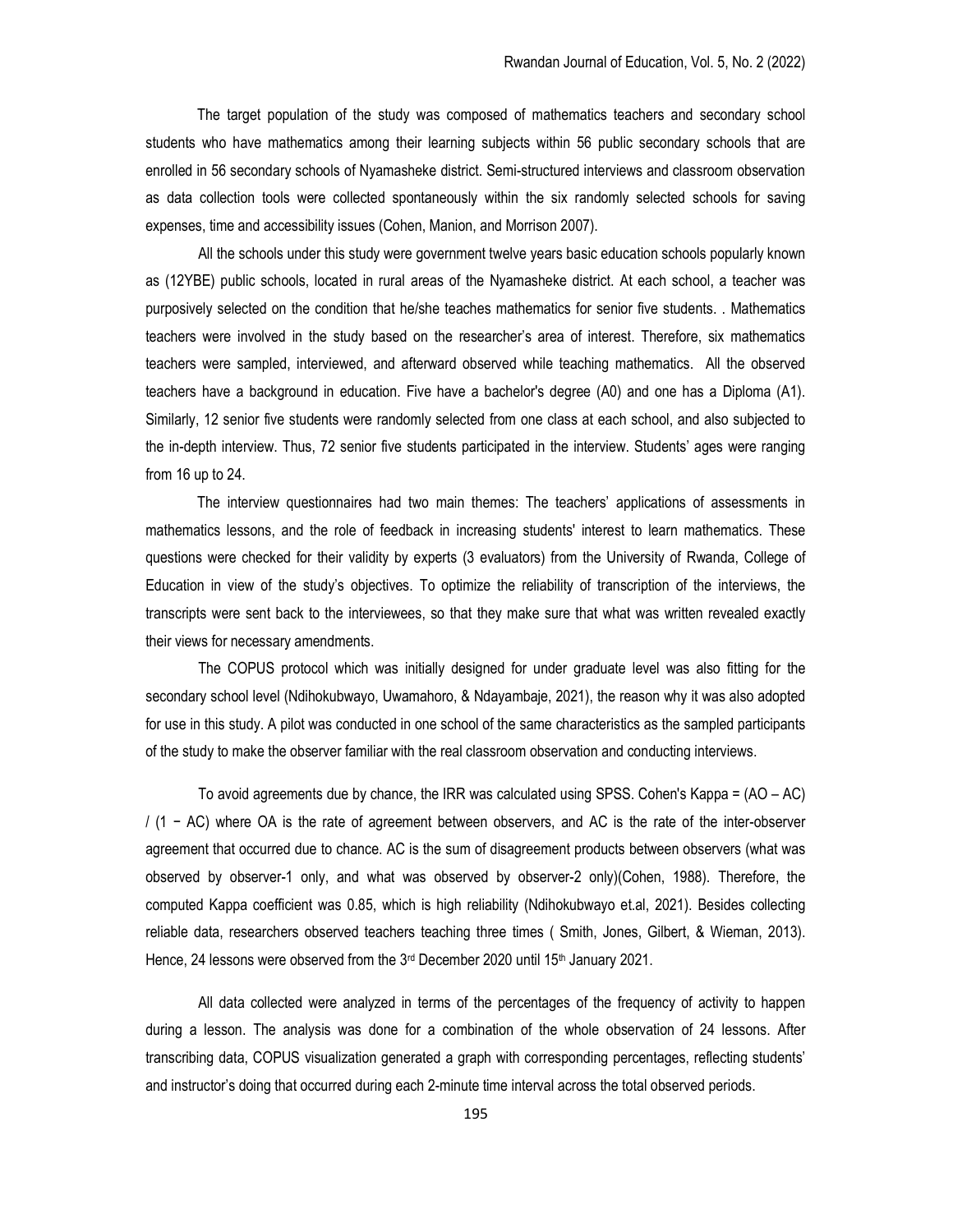The target population of the study was composed of mathematics teachers and secondary school students who have mathematics among their learning subjects within 56 public secondary schools that are enrolled in 56 secondary schools of Nyamasheke district. Semi-structured interviews and classroom observation as data collection tools were collected spontaneously within the six randomly selected schools for saving expenses, time and accessibility issues (Cohen, Manion, and Morrison 2007).

All the schools under this study were government twelve years basic education schools popularly known as (12YBE) public schools, located in rural areas of the Nyamasheke district. At each school, a teacher was purposively selected on the condition that he/she teaches mathematics for senior five students. . Mathematics teachers were involved in the study based on the researcher's area of interest. Therefore, six mathematics teachers were sampled, interviewed, and afterward observed while teaching mathematics. All the observed teachers have a background in education. Five have a bachelor's degree (A0) and one has a Diploma (A1). Similarly, 12 senior five students were randomly selected from one class at each school, and also subjected to the in-depth interview. Thus, 72 senior five students participated in the interview. Students' ages were ranging from 16 up to 24.

The interview questionnaires had two main themes: The teachers' applications of assessments in mathematics lessons, and the role of feedback in increasing students' interest to learn mathematics. These questions were checked for their validity by experts (3 evaluators) from the University of Rwanda, College of Education in view of the study's objectives. To optimize the reliability of transcription of the interviews, the transcripts were sent back to the interviewees, so that they make sure that what was written revealed exactly their views for necessary amendments.

The COPUS protocol which was initially designed for under graduate level was also fitting for the secondary school level (Ndihokubwayo, Uwamahoro, & Ndayambaje, 2021), the reason why it was also adopted for use in this study. A pilot was conducted in one school of the same characteristics as the sampled participants of the study to make the observer familiar with the real classroom observation and conducting interviews.

To avoid agreements due by chance, the IRR was calculated using SPSS. Cohen's Kappa = (AO – AC) / (1 − AC) where OA is the rate of agreement between observers, and AC is the rate of the inter-observer agreement that occurred due to chance. AC is the sum of disagreement products between observers (what was observed by observer-1 only, and what was observed by observer-2 only)(Cohen, 1988). Therefore, the computed Kappa coefficient was 0.85, which is high reliability (Ndihokubwayo et.al, 2021). Besides collecting reliable data, researchers observed teachers teaching three times ( Smith, Jones, Gilbert, & Wieman, 2013). Hence, 24 lessons were observed from the 3<sup>rd</sup> December 2020 until 15<sup>th</sup> January 2021.

All data collected were analyzed in terms of the percentages of the frequency of activity to happen during a lesson. The analysis was done for a combination of the whole observation of 24 lessons. After transcribing data, COPUS visualization generated a graph with corresponding percentages, reflecting students' and instructor's doing that occurred during each 2-minute time interval across the total observed periods.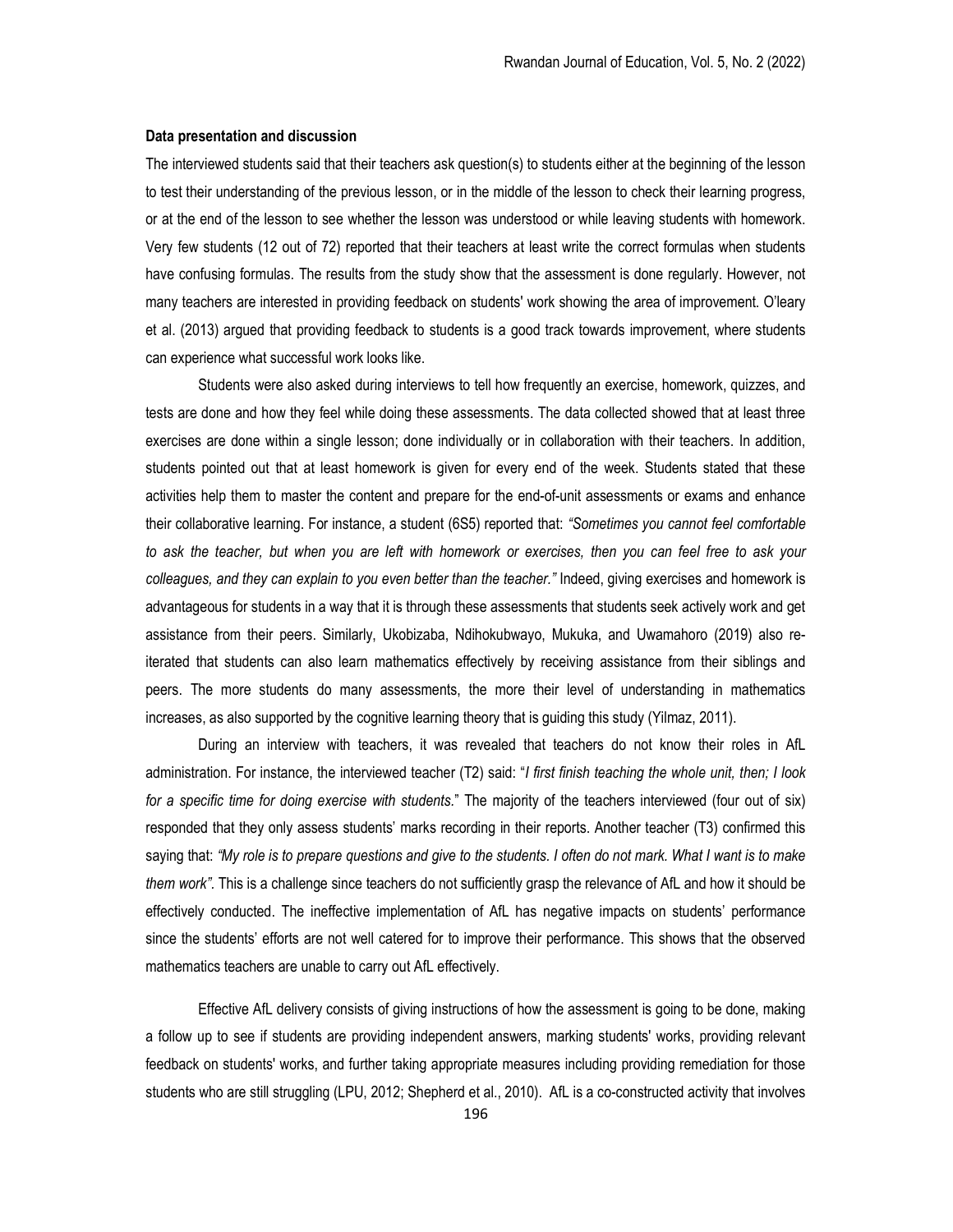#### Data presentation and discussion

The interviewed students said that their teachers ask question(s) to students either at the beginning of the lesson to test their understanding of the previous lesson, or in the middle of the lesson to check their learning progress, or at the end of the lesson to see whether the lesson was understood or while leaving students with homework. Very few students (12 out of 72) reported that their teachers at least write the correct formulas when students have confusing formulas. The results from the study show that the assessment is done regularly. However, not many teachers are interested in providing feedback on students' work showing the area of improvement. O'leary et al. (2013) argued that providing feedback to students is a good track towards improvement, where students can experience what successful work looks like.

Students were also asked during interviews to tell how frequently an exercise, homework, quizzes, and tests are done and how they feel while doing these assessments. The data collected showed that at least three exercises are done within a single lesson; done individually or in collaboration with their teachers. In addition, students pointed out that at least homework is given for every end of the week. Students stated that these activities help them to master the content and prepare for the end-of-unit assessments or exams and enhance their collaborative learning. For instance, a student (6S5) reported that: "Sometimes you cannot feel comfortable to ask the teacher, but when you are left with homework or exercises, then you can feel free to ask your colleagues, and they can explain to you even better than the teacher." Indeed, giving exercises and homework is advantageous for students in a way that it is through these assessments that students seek actively work and get assistance from their peers. Similarly, Ukobizaba, Ndihokubwayo, Mukuka, and Uwamahoro (2019) also reiterated that students can also learn mathematics effectively by receiving assistance from their siblings and peers. The more students do many assessments, the more their level of understanding in mathematics increases, as also supported by the cognitive learning theory that is guiding this study (Yilmaz, 2011).

During an interview with teachers, it was revealed that teachers do not know their roles in AfL administration. For instance, the interviewed teacher (T2) said: "I first finish teaching the whole unit, then; I look for a specific time for doing exercise with students." The majority of the teachers interviewed (four out of six) responded that they only assess students' marks recording in their reports. Another teacher (T3) confirmed this saying that: "My role is to prepare questions and give to the students. I often do not mark. What I want is to make them work". This is a challenge since teachers do not sufficiently grasp the relevance of AfL and how it should be effectively conducted. The ineffective implementation of AfL has negative impacts on students' performance since the students' efforts are not well catered for to improve their performance. This shows that the observed mathematics teachers are unable to carry out AfL effectively.

Effective AfL delivery consists of giving instructions of how the assessment is going to be done, making a follow up to see if students are providing independent answers, marking students' works, providing relevant feedback on students' works, and further taking appropriate measures including providing remediation for those students who are still struggling (LPU, 2012; Shepherd et al., 2010). AfL is a co-constructed activity that involves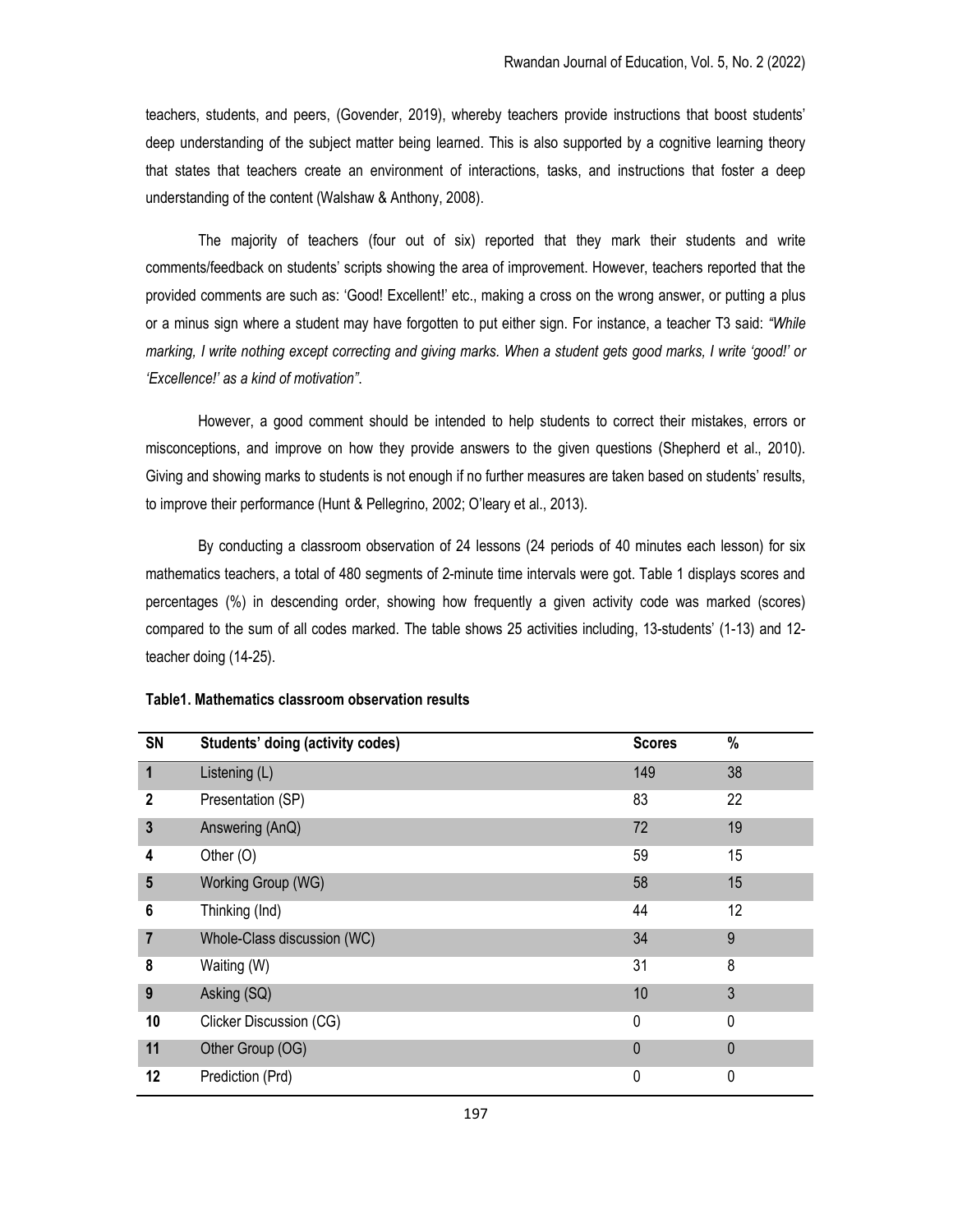teachers, students, and peers, (Govender, 2019), whereby teachers provide instructions that boost students' deep understanding of the subject matter being learned. This is also supported by a cognitive learning theory that states that teachers create an environment of interactions, tasks, and instructions that foster a deep understanding of the content (Walshaw & Anthony, 2008).

The majority of teachers (four out of six) reported that they mark their students and write comments/feedback on students' scripts showing the area of improvement. However, teachers reported that the provided comments are such as: 'Good! Excellent!' etc., making a cross on the wrong answer, or putting a plus or a minus sign where a student may have forgotten to put either sign. For instance, a teacher T3 said: "While marking, I write nothing except correcting and giving marks. When a student gets good marks, I write 'good!' or 'Excellence!' as a kind of motivation".

However, a good comment should be intended to help students to correct their mistakes, errors or misconceptions, and improve on how they provide answers to the given questions (Shepherd et al., 2010). Giving and showing marks to students is not enough if no further measures are taken based on students' results, to improve their performance (Hunt & Pellegrino, 2002; O'leary et al., 2013).

By conducting a classroom observation of 24 lessons (24 periods of 40 minutes each lesson) for six mathematics teachers, a total of 480 segments of 2-minute time intervals were got. Table 1 displays scores and percentages (%) in descending order, showing how frequently a given activity code was marked (scores) compared to the sum of all codes marked. The table shows 25 activities including, 13-students' (1-13) and 12 teacher doing (14-25).

| SN           | Students' doing (activity codes) | <b>Scores</b> | %            |
|--------------|----------------------------------|---------------|--------------|
| $\mathbf 1$  | Listening (L)                    | 149           | 38           |
| $\mathbf{2}$ | Presentation (SP)                | 83            | 22           |
| $\mathbf{3}$ | Answering (AnQ)                  | 72            | 19           |
| 4            | Other (O)                        | 59            | 15           |
| 5            | Working Group (WG)               | 58            | 15           |
| 6            | Thinking (Ind)                   | 44            | 12           |
| 7            | Whole-Class discussion (WC)      | 34            | 9            |
| 8            | Waiting (W)                      | 31            | 8            |
| 9            | Asking (SQ)                      | 10            | 3            |
| 10           | Clicker Discussion (CG)          | 0             | 0            |
| 11           | Other Group (OG)                 | $\mathbf{0}$  | $\mathbf{0}$ |
| 12           | Prediction (Prd)                 | 0             | 0            |

# Table1. Mathematics classroom observation results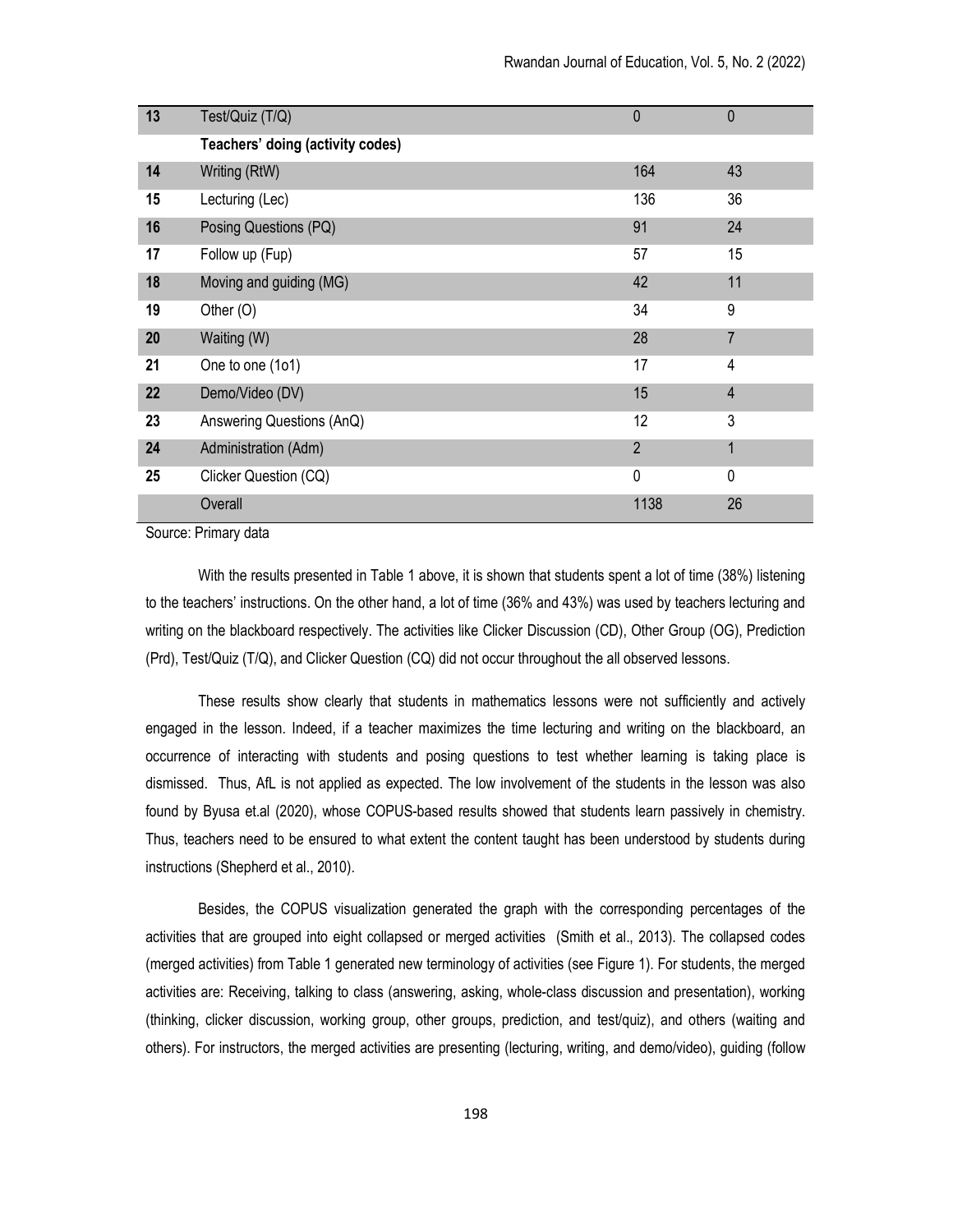| 13 | Test/Quiz (T/Q)                  | $\mathbf{0}$   | $\mathbf 0$    |
|----|----------------------------------|----------------|----------------|
|    | Teachers' doing (activity codes) |                |                |
| 14 | Writing (RtW)                    | 164            | 43             |
| 15 | Lecturing (Lec)                  | 136            | 36             |
| 16 | Posing Questions (PQ)            | 91             | 24             |
| 17 | Follow up (Fup)                  | 57             | 15             |
| 18 | Moving and guiding (MG)          | 42             | 11             |
| 19 | Other $(O)$                      | 34             | 9              |
| 20 | Waiting (W)                      | 28             | $\overline{7}$ |
| 21 | One to one (1o1)                 | 17             | 4              |
| 22 | Demo/Video (DV)                  | 15             | $\overline{4}$ |
| 23 | Answering Questions (AnQ)        | 12             | 3              |
| 24 | Administration (Adm)             | $\overline{2}$ | $\overline{1}$ |
| 25 | Clicker Question (CQ)            | $\mathbf 0$    | $\mathbf{0}$   |
|    | Overall                          | 1138           | 26             |

Source: Primary data

With the results presented in Table 1 above, it is shown that students spent a lot of time (38%) listening to the teachers' instructions. On the other hand, a lot of time (36% and 43%) was used by teachers lecturing and writing on the blackboard respectively. The activities like Clicker Discussion (CD), Other Group (OG), Prediction (Prd), Test/Quiz (T/Q), and Clicker Question (CQ) did not occur throughout the all observed lessons.

These results show clearly that students in mathematics lessons were not sufficiently and actively engaged in the lesson. Indeed, if a teacher maximizes the time lecturing and writing on the blackboard, an occurrence of interacting with students and posing questions to test whether learning is taking place is dismissed. Thus, AfL is not applied as expected. The low involvement of the students in the lesson was also found by Byusa et.al (2020), whose COPUS-based results showed that students learn passively in chemistry. Thus, teachers need to be ensured to what extent the content taught has been understood by students during instructions (Shepherd et al., 2010).

Besides, the COPUS visualization generated the graph with the corresponding percentages of the activities that are grouped into eight collapsed or merged activities (Smith et al., 2013). The collapsed codes (merged activities) from Table 1 generated new terminology of activities (see Figure 1). For students, the merged activities are: Receiving, talking to class (answering, asking, whole-class discussion and presentation), working (thinking, clicker discussion, working group, other groups, prediction, and test/quiz), and others (waiting and others). For instructors, the merged activities are presenting (lecturing, writing, and demo/video), guiding (follow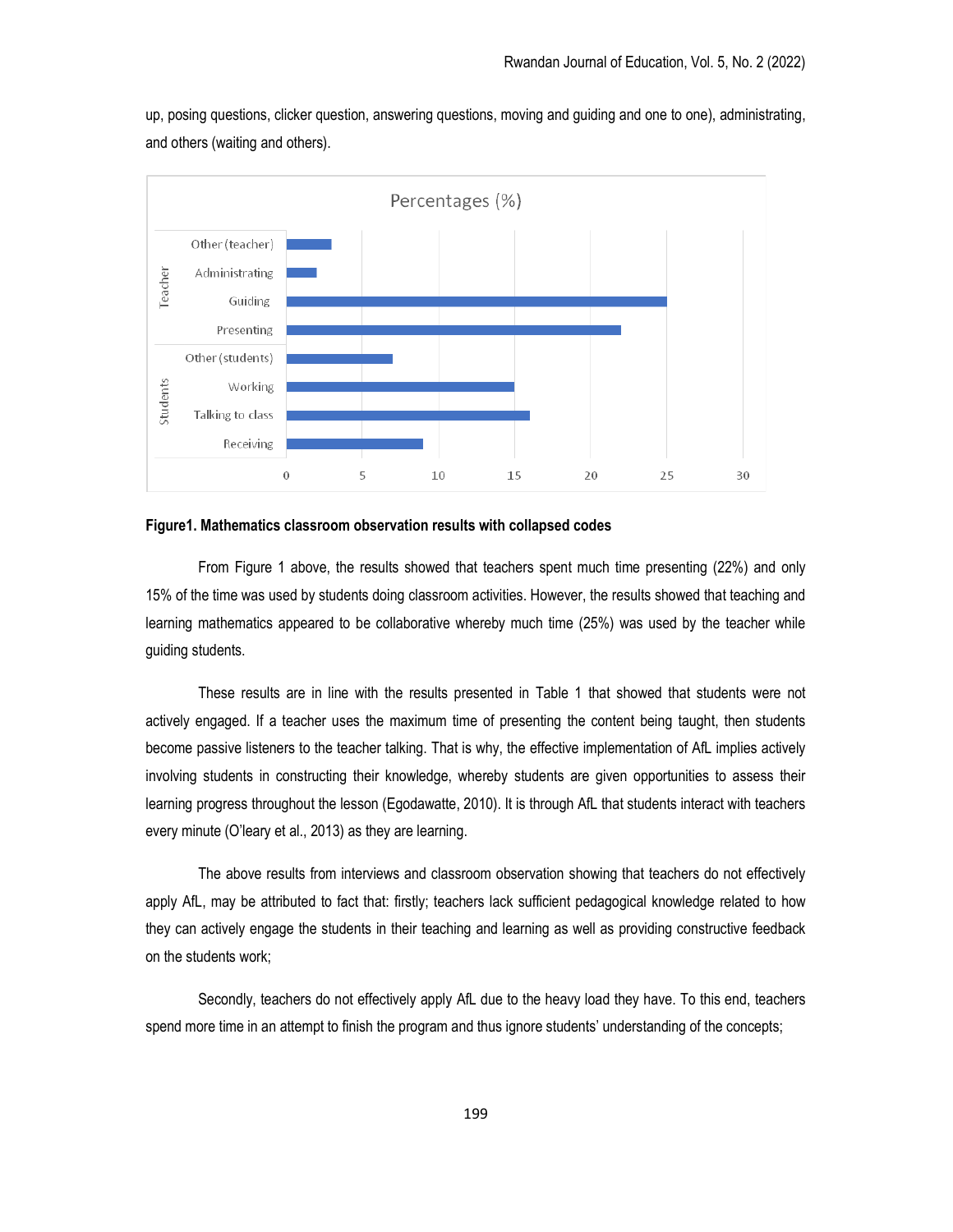up, posing questions, clicker question, answering questions, moving and guiding and one to one), administrating, and others (waiting and others).



## Figure1. Mathematics classroom observation results with collapsed codes

From Figure 1 above, the results showed that teachers spent much time presenting (22%) and only 15% of the time was used by students doing classroom activities. However, the results showed that teaching and learning mathematics appeared to be collaborative whereby much time (25%) was used by the teacher while guiding students.

These results are in line with the results presented in Table 1 that showed that students were not actively engaged. If a teacher uses the maximum time of presenting the content being taught, then students become passive listeners to the teacher talking. That is why, the effective implementation of AfL implies actively involving students in constructing their knowledge, whereby students are given opportunities to assess their learning progress throughout the lesson (Egodawatte, 2010). It is through AfL that students interact with teachers every minute (O'leary et al., 2013) as they are learning.

The above results from interviews and classroom observation showing that teachers do not effectively apply AfL, may be attributed to fact that: firstly; teachers lack sufficient pedagogical knowledge related to how they can actively engage the students in their teaching and learning as well as providing constructive feedback on the students work;

Secondly, teachers do not effectively apply AfL due to the heavy load they have. To this end, teachers spend more time in an attempt to finish the program and thus ignore students' understanding of the concepts;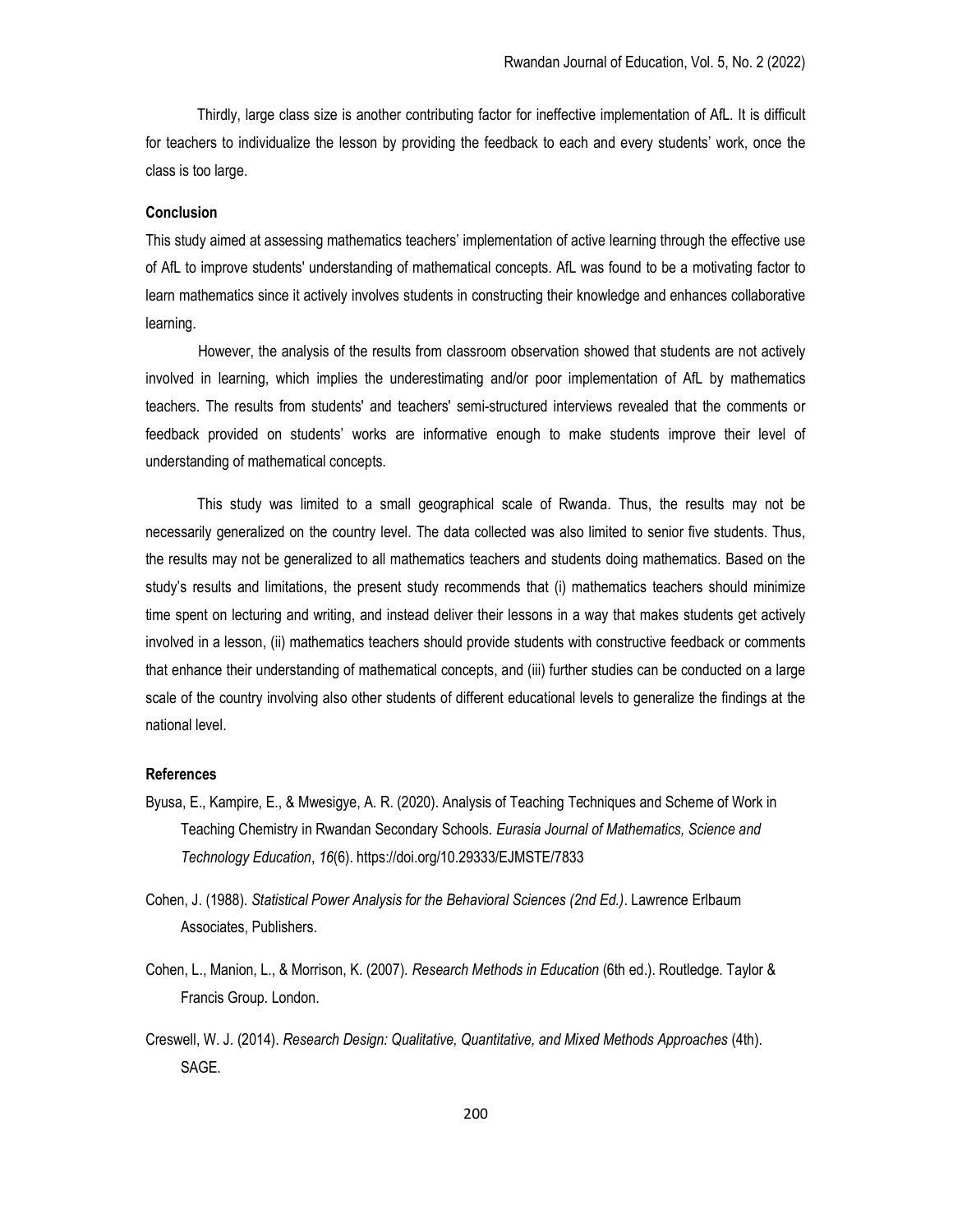Thirdly, large class size is another contributing factor for ineffective implementation of AfL. It is difficult for teachers to individualize the lesson by providing the feedback to each and every students' work, once the class is too large.

## Conclusion

This study aimed at assessing mathematics teachers' implementation of active learning through the effective use of AfL to improve students' understanding of mathematical concepts. AfL was found to be a motivating factor to learn mathematics since it actively involves students in constructing their knowledge and enhances collaborative learning.

However, the analysis of the results from classroom observation showed that students are not actively involved in learning, which implies the underestimating and/or poor implementation of AfL by mathematics teachers. The results from students' and teachers' semi-structured interviews revealed that the comments or feedback provided on students' works are informative enough to make students improve their level of understanding of mathematical concepts.

This study was limited to a small geographical scale of Rwanda. Thus, the results may not be necessarily generalized on the country level. The data collected was also limited to senior five students. Thus, the results may not be generalized to all mathematics teachers and students doing mathematics. Based on the study's results and limitations, the present study recommends that (i) mathematics teachers should minimize time spent on lecturing and writing, and instead deliver their lessons in a way that makes students get actively involved in a lesson, (ii) mathematics teachers should provide students with constructive feedback or comments that enhance their understanding of mathematical concepts, and (iii) further studies can be conducted on a large scale of the country involving also other students of different educational levels to generalize the findings at the national level.

## References

- Byusa, E., Kampire, E., & Mwesigye, A. R. (2020). Analysis of Teaching Techniques and Scheme of Work in Teaching Chemistry in Rwandan Secondary Schools. Eurasia Journal of Mathematics, Science and Technology Education, 16(6). https://doi.org/10.29333/EJMSTE/7833
- Cohen, J. (1988). Statistical Power Analysis for the Behavioral Sciences (2nd Ed.). Lawrence Erlbaum Associates, Publishers.
- Cohen, L., Manion, L., & Morrison, K. (2007). Research Methods in Education (6th ed.). Routledge. Taylor & Francis Group. London.
- Creswell, W. J. (2014). Research Design: Qualitative, Quantitative, and Mixed Methods Approaches (4th). SAGE.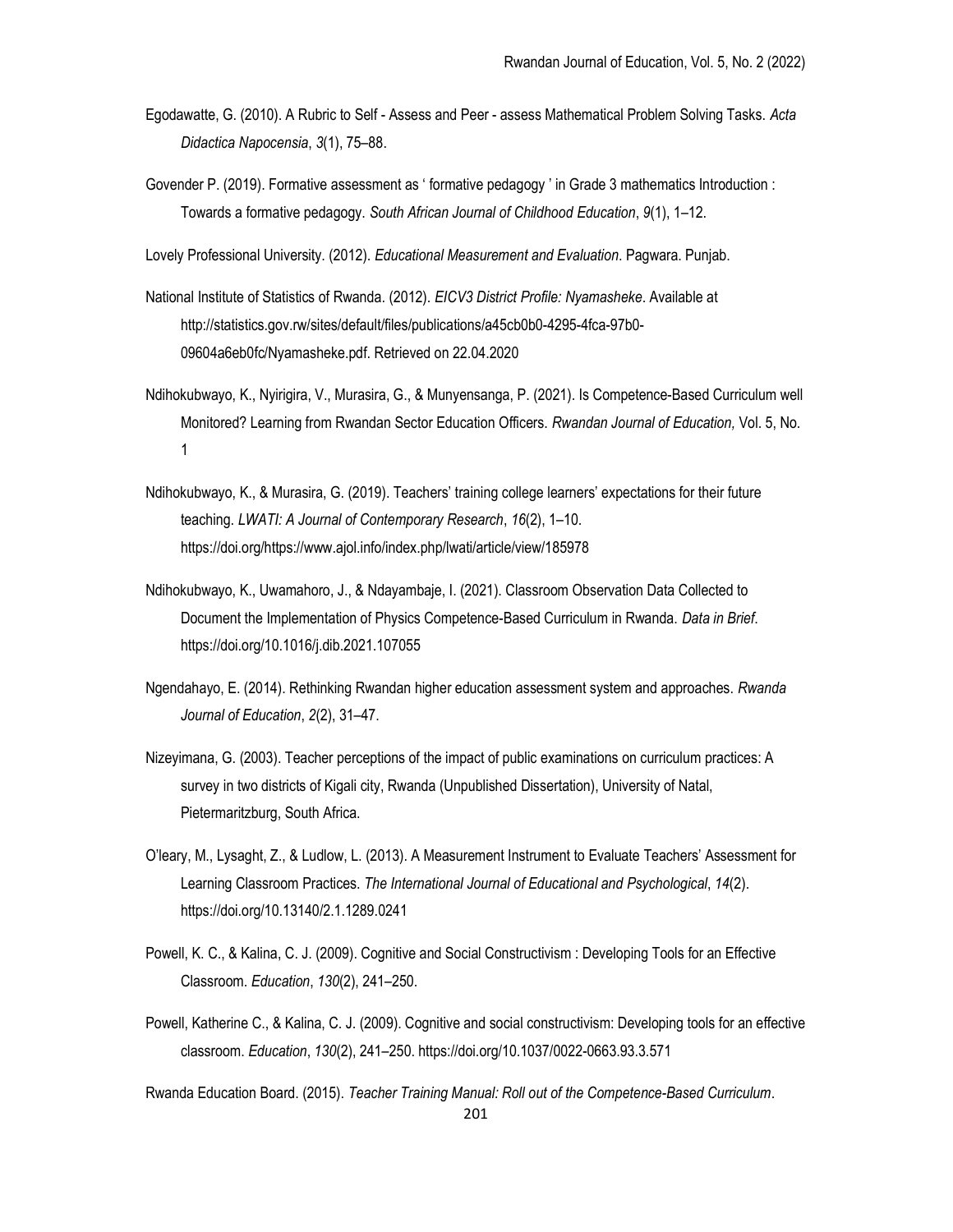- Egodawatte, G. (2010). A Rubric to Self Assess and Peer assess Mathematical Problem Solving Tasks. Acta Didactica Napocensia, 3(1), 75–88.
- Govender P. (2019). Formative assessment as ' formative pedagogy ' in Grade 3 mathematics Introduction : Towards a formative pedagogy. South African Journal of Childhood Education, 9(1), 1–12.

Lovely Professional University. (2012). Educational Measurement and Evaluation. Pagwara. Punjab.

- National Institute of Statistics of Rwanda. (2012). EICV3 District Profile: Nyamasheke. Available at http://statistics.gov.rw/sites/default/files/publications/a45cb0b0-4295-4fca-97b0- 09604a6eb0fc/Nyamasheke.pdf. Retrieved on 22.04.2020
- Ndihokubwayo, K., Nyirigira, V., Murasira, G., & Munyensanga, P. (2021). Is Competence-Based Curriculum well Monitored? Learning from Rwandan Sector Education Officers. Rwandan Journal of Education, Vol. 5, No. 1
- Ndihokubwayo, K., & Murasira, G. (2019). Teachers' training college learners' expectations for their future teaching. LWATI: A Journal of Contemporary Research, 16(2), 1–10. https://doi.org/https://www.ajol.info/index.php/lwati/article/view/185978
- Ndihokubwayo, K., Uwamahoro, J., & Ndayambaje, I. (2021). Classroom Observation Data Collected to Document the Implementation of Physics Competence-Based Curriculum in Rwanda. Data in Brief. https://doi.org/10.1016/j.dib.2021.107055
- Ngendahayo, E. (2014). Rethinking Rwandan higher education assessment system and approaches. Rwanda Journal of Education, 2(2), 31–47.
- Nizeyimana, G. (2003). Teacher perceptions of the impact of public examinations on curriculum practices: A survey in two districts of Kigali city, Rwanda (Unpublished Dissertation), University of Natal, Pietermaritzburg, South Africa.
- O'leary, M., Lysaght, Z., & Ludlow, L. (2013). A Measurement Instrument to Evaluate Teachers' Assessment for Learning Classroom Practices. The International Journal of Educational and Psychological, 14(2). https://doi.org/10.13140/2.1.1289.0241
- Powell, K. C., & Kalina, C. J. (2009). Cognitive and Social Constructivism : Developing Tools for an Effective Classroom. Education, 130(2), 241–250.
- Powell, Katherine C., & Kalina, C. J. (2009). Cognitive and social constructivism: Developing tools for an effective classroom. Education, 130(2), 241–250. https://doi.org/10.1037/0022-0663.93.3.571

Rwanda Education Board. (2015). Teacher Training Manual: Roll out of the Competence-Based Curriculum.